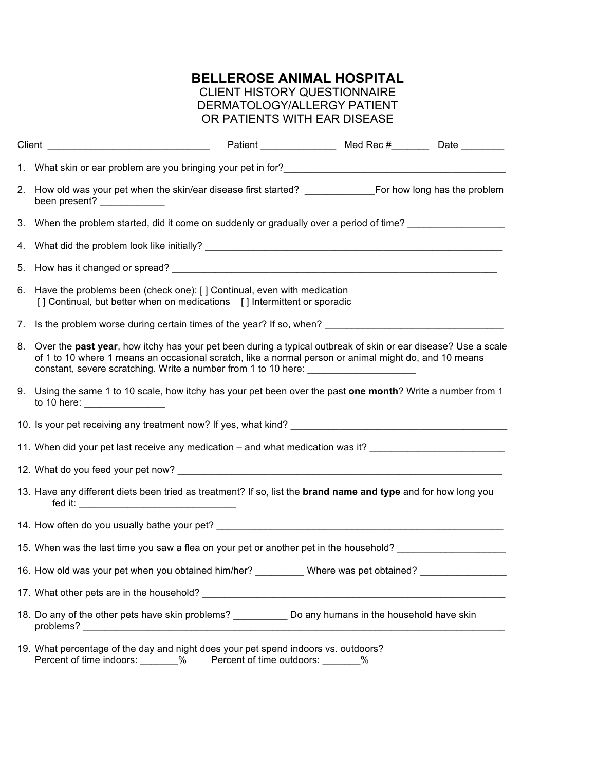## **BELLEROSE ANIMAL HOSPITAL**

## CLIENT HISTORY QUESTIONNAIRE DERMATOLOGY/ALLERGY PATIENT OR PATIENTS WITH EAR DISEASE

|    | Patient Med Rec # Date _________                                                                                                                                                                                                                                                                              |
|----|---------------------------------------------------------------------------------------------------------------------------------------------------------------------------------------------------------------------------------------------------------------------------------------------------------------|
|    | 1. What skin or ear problem are you bringing your pet in for? example and the state of the state of the state of the state of the state of the state of the state of the state of the state of the state of the state of the s                                                                                |
|    | been present? ______________                                                                                                                                                                                                                                                                                  |
|    | 3. When the problem started, did it come on suddenly or gradually over a period of time?                                                                                                                                                                                                                      |
|    |                                                                                                                                                                                                                                                                                                               |
|    |                                                                                                                                                                                                                                                                                                               |
|    | 6. Have the problems been (check one): [] Continual, even with medication<br>[] Continual, but better when on medications [] Intermittent or sporadic                                                                                                                                                         |
| 7. | Is the problem worse during certain times of the year? If so, when? ________________________________                                                                                                                                                                                                          |
|    | 8. Over the past year, how itchy has your pet been during a typical outbreak of skin or ear disease? Use a scale<br>of 1 to 10 where 1 means an occasional scratch, like a normal person or animal might do, and 10 means<br>constant, severe scratching. Write a number from 1 to 10 here: _________________ |
|    | 9. Using the same 1 to 10 scale, how itchy has your pet been over the past one month? Write a number from 1<br>to 10 here: __________________                                                                                                                                                                 |
|    |                                                                                                                                                                                                                                                                                                               |
|    | 11. When did your pet last receive any medication – and what medication was it? __________________________                                                                                                                                                                                                    |
|    |                                                                                                                                                                                                                                                                                                               |
|    | 13. Have any different diets been tried as treatment? If so, list the brand name and type and for how long you                                                                                                                                                                                                |
|    |                                                                                                                                                                                                                                                                                                               |
|    | 15. When was the last time you saw a flea on your pet or another pet in the household?                                                                                                                                                                                                                        |
|    | 16. How old was your pet when you obtained him/her?<br>Where was pet obtained?                                                                                                                                                                                                                                |
|    |                                                                                                                                                                                                                                                                                                               |
|    | 18. Do any of the other pets have skin problems? _____________ Do any humans in the household have skin<br>problems?                                                                                                                                                                                          |
|    | 19. What percentage of the day and night does your pet spend indoors vs. outdoors?<br>Percent of time indoors:<br>Percent of time outdoors:<br>%<br>$\%$                                                                                                                                                      |